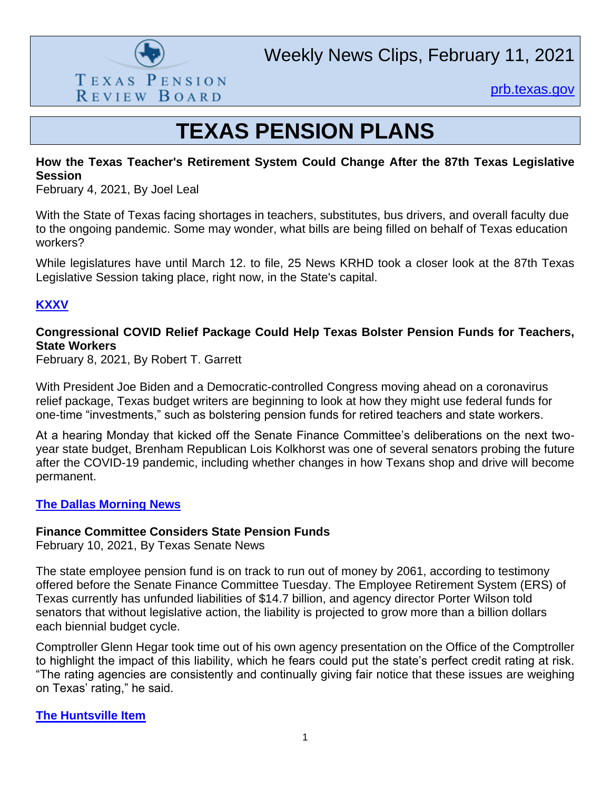

[prb.texas.gov](http://www.prb.texas.gov/)

## **TEXAS PENSION PLANS**

#### **How the Texas Teacher's Retirement System Could Change After the 87th Texas Legislative Session**

February 4, 2021, By Joel Leal

With the State of Texas facing shortages in teachers, substitutes, bus drivers, and overall faculty due to the ongoing pandemic. Some may wonder, what bills are being filled on behalf of Texas education workers?

While legislatures have until March 12. to file, 25 News KRHD took a closer look at the 87th Texas Legislative Session taking place, right now, in the State's capital.

#### **[KXXV](https://www.kxxv.com/hometown/texas/how-the-texas-teachers-retirement-system-could-change-after-the-87th-texas-legislative-session)**

#### **Congressional COVID Relief Package Could Help Texas Bolster Pension Funds for Teachers, State Workers**

February 8, 2021, By Robert T. Garrett

With President Joe Biden and a Democratic-controlled Congress moving ahead on a coronavirus relief package, Texas budget writers are beginning to look at how they might use federal funds for one-time "investments," such as bolstering pension funds for retired teachers and state workers.

At a hearing Monday that kicked off the Senate Finance Committee's deliberations on the next twoyear state budget, Brenham Republican Lois Kolkhorst was one of several senators probing the future after the COVID-19 pandemic, including whether changes in how Texans shop and drive will become permanent.

#### **[The Dallas Morning News](https://www.dallasnews.com/news/politics/2021/02/08/congressional-covid-relief-package-could-help-texas-bolster-pension-funds-for-teachers-state-workers/#_ga=2.110060679.300879110.1613066544-872038998.1613066544)**

#### **Finance Committee Considers State Pension Funds**

February 10, 2021, By Texas Senate News

The state employee pension fund is on track to run out of money by 2061, according to testimony offered before the Senate Finance Committee Tuesday. The Employee Retirement System (ERS) of Texas currently has unfunded liabilities of \$14.7 billion, and agency director Porter Wilson told senators that without legislative action, the liability is projected to grow more than a billion dollars each biennial budget cycle.

Comptroller Glenn Hegar took time out of his own agency presentation on the Office of the Comptroller to highlight the impact of this liability, which he fears could put the state's perfect credit rating at risk. "The rating agencies are consistently and continually giving fair notice that these issues are weighing on Texas' rating," he said.

**[The Huntsville Item](https://www.itemonline.com/news/finance-committee-considers-state-pension-funds/article_d804d1ca-6ba6-11eb-a2cf-b7bb92ec713f.html)**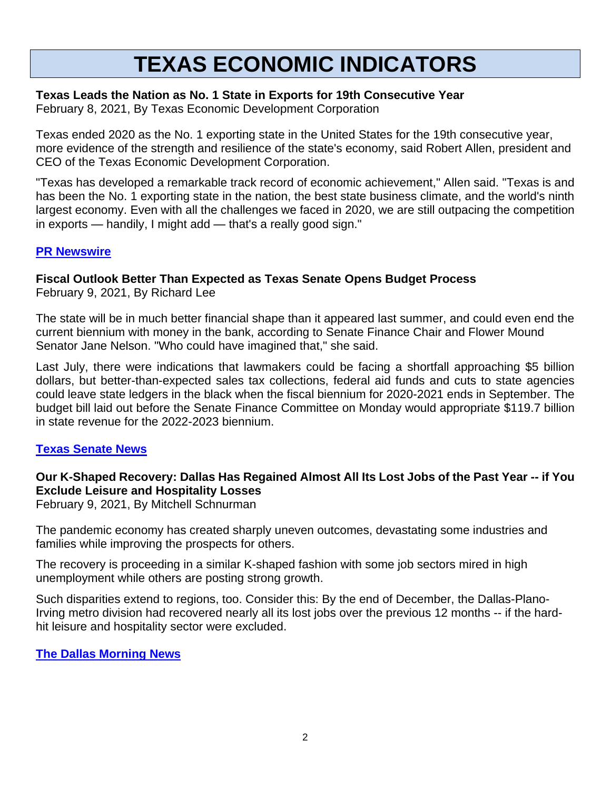## **TEXAS ECONOMIC INDICATORS**

#### **Texas Leads the Nation as No. 1 State in Exports for 19th Consecutive Year**

February 8, 2021, By Texas Economic Development Corporation

Texas ended 2020 as the No. 1 exporting state in the United States for the 19th consecutive year, more evidence of the strength and resilience of the state's economy, said Robert Allen, president and CEO of the Texas Economic Development Corporation.

"Texas has developed a remarkable track record of economic achievement," Allen said. "Texas is and has been the No. 1 exporting state in the nation, the best state business climate, and the world's ninth largest economy. Even with all the challenges we faced in 2020, we are still outpacing the competition in exports — handily, I might add — that's a really good sign."

#### **PR [Newswire](https://www.prnewswire.com/news-releases/texas-leads-the-nation-as-no-1-state-in-exports-for-19th-consecutive-year-301223999.html)**

### **Fiscal Outlook Better Than Expected as Texas Senate Opens Budget Process**

February 9, 2021, By Richard Lee

The state will be in much better financial shape than it appeared last summer, and could even end the current biennium with money in the bank, according to Senate Finance Chair and Flower Mound Senator Jane Nelson. "Who could have imagined that," she said.

Last July, there were indications that lawmakers could be facing a shortfall approaching \$5 billion dollars, but better-than-expected sales tax collections, federal aid funds and cuts to state agencies could leave state ledgers in the black when the fiscal biennium for 2020-2021 ends in September. The budget bill laid out before the Senate Finance Committee on Monday would appropriate \$119.7 billion in state revenue for the 2022-2023 biennium.

#### **[Texas Senate News](https://senate.texas.gov/news.php?id=20210208a&lang=en)**

#### **Our K-Shaped Recovery: Dallas Has Regained Almost All Its Lost Jobs of the Past Year -- if You Exclude Leisure and Hospitality Losses**

February 9, 2021, By Mitchell Schnurman

The pandemic economy has created sharply uneven outcomes, devastating some industries and families while improving the prospects for others.

The recovery is proceeding in a similar K-shaped fashion with some job sectors mired in high unemployment while others are posting strong growth.

Such disparities extend to regions, too. Consider this: By the end of December, the Dallas-Plano-Irving metro division had recovered nearly all its lost jobs over the previous 12 months -- if the hardhit leisure and hospitality sector were excluded.

#### **[The Dallas Morning News](https://www.dallasnews.com/business/economy/2021/02/09/our-k-shaped-recovery-dallas-has-regained-almost-all-its-lost-jobs-of-the-past-year-if-you-exclude-leisure-and-hospitality-losses/#_ga=2.30091647.1505266628.1613040548-1489854217.1613040548)**